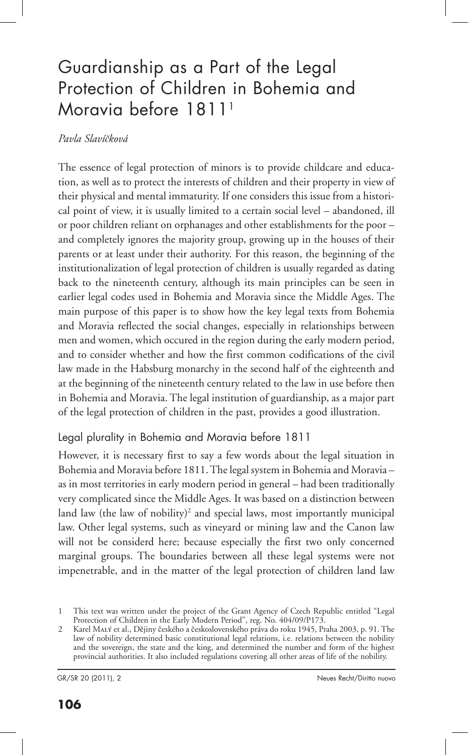# Guardianship as a Part of the Legal Protection of Children in Bohemia and Moravia before 18111

#### *Pavla Slavíčková*

The essence of legal protection of minors is to provide childcare and education, as well as to protect the interests of children and their property in view of their physical and mental immaturity. If one considers this issue from a historical point of view, it is usually limited to a certain social level – abandoned, ill or poor children reliant on orphanages and other establishments for the poor – and completely ignores the majority group, growing up in the houses of their parents or at least under their authority. For this reason, the beginning of the institutionalization of legal protection of children is usually regarded as dating back to the nineteenth century, although its main principles can be seen in earlier legal codes used in Bohemia and Moravia since the Middle Ages. The main purpose of this paper is to show how the key legal texts from Bohemia and Moravia reflected the social changes, especially in relationships between men and women, which occured in the region during the early modern period, and to consider whether and how the first common codifications of the civil law made in the Habsburg monarchy in the second half of the eighteenth and at the beginning of the nineteenth century related to the law in use before then in Bohemia and Moravia. The legal institution of guardianship, as a major part of the legal protection of children in the past, provides a good illustration.

### Legal plurality in Bohemia and Moravia before 1811

However, it is necessary first to say a few words about the legal situation in Bohemia and Moravia before 1811. The legal system in Bohemia and Moravia – as in most territories in early modern period in general – had been traditionally very complicated since the Middle Ages. It was based on a distinction between land law (the law of nobility)<sup>2</sup> and special laws, most importantly municipal law. Other legal systems, such as vineyard or mining law and the Canon law will not be considerd here; because especially the first two only concerned marginal groups. The boundaries between all these legal systems were not impenetrable, and in the matter of the legal protection of children land law

<sup>1</sup> This text was written under the project of the Grant Agency of Czech Republic entitled "Legal Protection of Children in the Early Modern Period", reg. No. 404/09/P173.

<sup>2</sup> Karel Malý et al., Dějiny českého a československého práva do roku 1945, Praha 2003, p. 91. The law of nobility determined basic constitutional legal relations, i.e. relations between the nobility and the sovereign, the state and the king, and determined the number and form of the highest provincial authorities. It also included regulations covering all other areas of life of the nobility.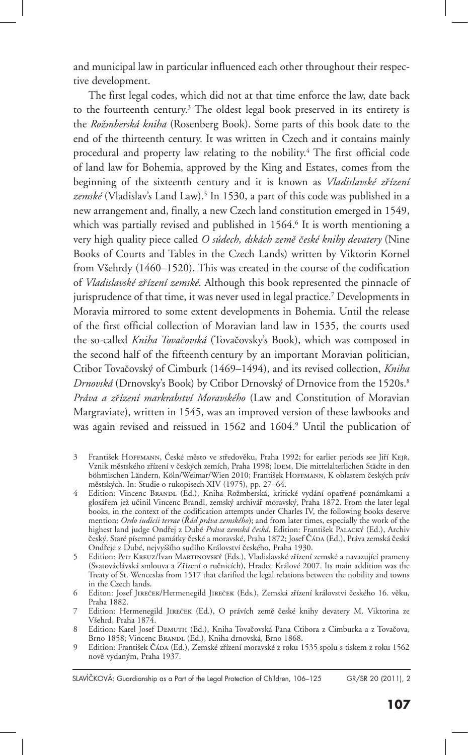and municipal law in particular influenced each other throughout their respective development.

The first legal codes, which did not at that time enforce the law, date back to the fourteenth century.<sup>3</sup> The oldest legal book preserved in its entirety is the *Rožmberská kniha* (Rosenberg Book). Some parts of this book date to the end of the thirteenth century. It was written in Czech and it contains mainly procedural and property law relating to the nobility.4 The first official code of land law for Bohemia, approved by the King and Estates, comes from the beginning of the sixteenth century and it is known as *Vladislavské zřízení zemské* (Vladislav's Land Law).5 In 1530, a part of this code was published in a new arrangement and, finally, a new Czech land constitution emerged in 1549, which was partially revised and published in 1564.<sup>6</sup> It is worth mentioning a very high quality piece called *O súdech, dskách země české knihy devatery* (Nine Books of Courts and Tables in the Czech Lands) written by Viktorin Kornel from Všehrdy (1460–1520). This was created in the course of the codification of *Vladislavské zřízení zemské*. Although this book represented the pinnacle of jurisprudence of that time, it was never used in legal practice.7 Developments in Moravia mirrored to some extent developments in Bohemia. Until the release of the first official collection of Moravian land law in 1535, the courts used the so-called *Kniha Tovačovská* (Tovačovsky's Book), which was composed in the second half of the fifteenth century by an important Moravian politician, Ctibor Tovačovský of Cimburk (1469–1494), and its revised collection, *Kniha Drnovská* (Drnovsky's Book) by Ctibor Drnovský of Drnovice from the 1520s.8 *Práva a zřízení markrabství Moravského* (Law and Constitution of Moravian Margraviate), written in 1545, was an improved version of these lawbooks and was again revised and reissued in 1562 and 1604.<sup>9</sup> Until the publication of

- 3 František HOFFMANN, Ćeské město ve středověku, Praha 1992; for earlier periods see Jiří KEJŘ, Vznik městského zřízení v českých zemích, Praha 1998; IDEM, Die mittelalterlichen Städte in den böhmischen Ländern, Köln/Weimar/Wien 2010; František Hoffmann, K oblastem českých práv městských. In: Studie o rukopisech XIV (1975), pp. 27–64.
- 4 Edition: Vincenc Brandl (Ed.), Kniha Rožmberská, kritické vydání opatřené poznámkami a glosářem jež učinil Vincenc Brandl, zemský archivář moravský, Praha 1872. From the later legal books, in the context of the codification attempts under Charles IV, the following books deserve mention: *Ordo iudicii terrae* (*Řád práva zemského*); and from later times, especially the work of the highest land judge Ondřej z Dubé *Práva zemská česká*. Edition: František Palacký (Ed.), Archiv český. Staré písemné památky české a moravské, Praha 1872; Josef Čá $\scriptstyle\rm DA}$  (Ed.), Práva zemská česká Ondřeje z Dubé, nejvyššího sudího Království českého, Praha 1930.
- 5 Edition: Petr Kreuz/Ivan Martinovský (Eds.), Vladislavské zřízení zemské a navazující prameny (Svatováclávská smlouva a Zřízení o ručnicích), Hradec Králové 2007. Its main addition was the Treaty of St. Wenceslas from 1517 that clarified the legal relations between the nobility and towns in the Czech lands.
- 6 Editon: Josef Jireček/Hermenegild Jireček (Eds.), Zemská zřízení království českého 16. věku, Praha 1882.
- 7 Edition: Hermenegild Jireček (Ed.), O právích země české knihy devatery M. Viktorina ze Všehrd, Praha 1874.
- 8 Edition: Karel Josef Demuth (Ed.), Kniha Tovačovská Pana Ctibora z Cimburka a z Tovačova, Brno 1858; Vincenc Brandl (Ed.), Kniha drnovská, Brno 1868.
- 9 Edition: František Čáda (Ed.), Zemské zřízení moravské z roku 1535 spolu s tiskem z roku 1562 nově vydaným, Praha 1937.

SLAVÍČKOVÁ: Guardianship as a Part of the Legal Protection of Children, 106–125 GR/SR 20 (2011), 2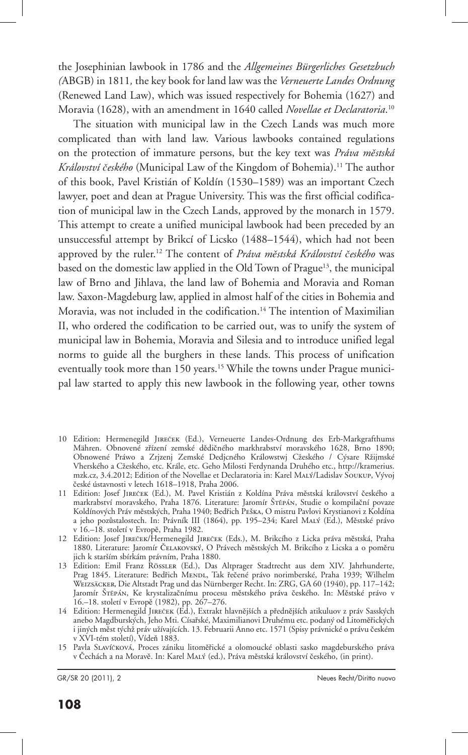the Josephinian lawbook in 1786 and the *Allgemeines Bürgerliches Gesetzbuch (*ABGB) in 1811*,* the key book for land law was the *Verneuerte Landes Ordnung* (Renewed Land Law), which was issued respectively for Bohemia (1627) and Moravia (1628), with an amendment in 1640 called *Novellae et Declaratoria*. 10

The situation with municipal law in the Czech Lands was much more complicated than with land law. Various lawbooks contained regulations on the protection of immature persons, but the key text was *Práva městská Království českého* (Municipal Law of the Kingdom of Bohemia).11 The author of this book, Pavel Kristián of Koldín (1530–1589) was an important Czech lawyer, poet and dean at Prague University. This was the first official codification of municipal law in the Czech Lands, approved by the monarch in 1579. This attempt to create a unified municipal lawbook had been preceded by an unsuccessful attempt by Brikcí of Licsko (1488–1544), which had not been approved by the ruler.12 The content of *Práva městská Království českého* was based on the domestic law applied in the Old Town of Prague<sup>13</sup>, the municipal law of Brno and Jihlava, the land law of Bohemia and Moravia and Roman law. Saxon-Magdeburg law, applied in almost half of the cities in Bohemia and Moravia, was not included in the codification.14 The intention of Maximilian II, who ordered the codification to be carried out, was to unify the system of municipal law in Bohemia, Moravia and Silesia and to introduce unified legal norms to guide all the burghers in these lands. This process of unification eventually took more than 150 years.<sup>15</sup> While the towns under Prague municipal law started to apply this new lawbook in the following year, other towns

- 10 Edition: Hermenegild Jireček (Ed.), Verneuerte Landes-Ordnung des Erb-Markgrafthums Mähren. Obnovené zřízení zemské dědičného markhrabství moravského 1628, Brno 1890; Obnowené Práwo a Zrjzenj Zemské Dedjcného Králowstwj Cžeského / Cýsare Ržijmské Vherského a Cžeského, etc. Krále, etc. Geho Milosti Ferdynanda Druhého etc., http://kramerius. mzk.cz, 3.4.2012; Edition of the Novellae et Declaratoria in: Karel Malý/Ladislav Soukup, Vývoj české ústavnosti v letech 1618–1918, Praha 2006.
- 11 Edition: Josef Jireček (Ed.), M. Pavel Kristián z Koldína Práva městská království českého a markrabství moravského, Praha 1876. Literature: Jaromír Štěpán, Studie o kompilační povaze Koldínových Práv městských, Praha 1940; Bedřich Peška, O mistru Pavlovi Krystianovi z Koldína a jeho pozůstalostech. In: Právník III (1864), pp. 195–234; Karel Malý (Ed.), Městské právo v 16.–18. století v Evropě, Praha 1982.
- 12 Edition: Josef Jireček/Hermenegild Jireček (Eds.), M. Brikcího z Licka práva městská, Praha 1880. Literature: Jaromír Čelakovský, O Právech městských M. Brikcího z Licska a o poměru jich k starším sbírkám právním, Praha 1880.
- 13 Edition: Emil Franz Rössler (Ed.), Das Altprager Stadtrecht aus dem XIV. Jahrhunderte, Prag 1845. Literature: Bedřich MENDL, Tak řečené právo norimberské, Praha 1939; Wilhelm Weizsäcker, Die Altstadt Prag und das Nürnberger Recht. In: ZRG, GA 60 (1940), pp. 117–142; Jaromír Štěpán, Ke krystalizačnímu procesu městského práva českého. In: Městské právo v 16.–18. století v Evropě (1982), pp. 267–276.
- 14 Edition: Hermenegild Jireček (Ed.), Extrakt hlavnějších a přednějších atikuluov z práv Sasských anebo Magdburských, Jeho Mti. Císařské, Maximilianovi Druhému etc. podaný od Litoměřických i jiných měst týchž práv užívajících. 13. Februarii Anno etc. 1571 (Spisy právnické o právu českém v XVI-tém století), Vídeň 1883.
- 15 Pavla Slavíčková, Proces zániku litoměřické a olomoucké oblasti sasko magdeburského práva v Čechách a na Moravě. In: Karel Malý (ed.), Práva městská království českého, (in print).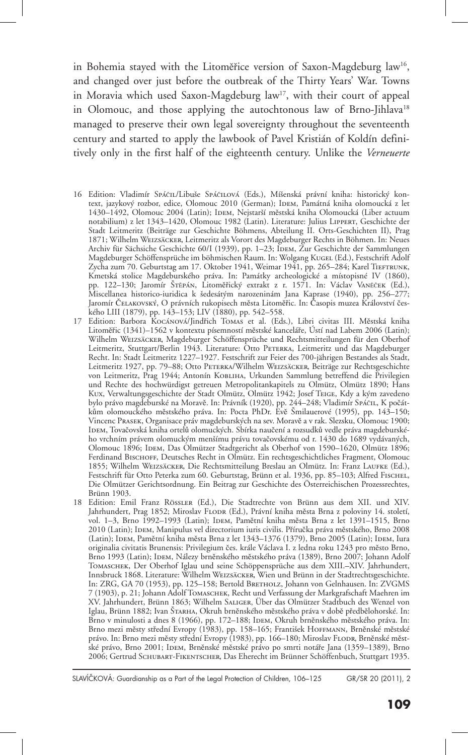in Bohemia stayed with the Litoměřice version of Saxon-Magdeburg law<sup>16</sup>, and changed over just before the outbreak of the Thirty Years' War. Towns in Moravia which used Saxon-Magdeburg law<sup>17</sup>, with their court of appeal in Olomouc, and those applying the autochtonous law of Brno-Jihlava<sup>18</sup> managed to preserve their own legal sovereignty throughout the seventeenth century and started to apply the lawbook of Pavel Kristián of Koldín definitively only in the first half of the eighteenth century. Unlike the *Verneuerte* 

- 16 Edition: Vladimír Spáčil/Libuše Spáčilová (Eds.), Míšenská právní kniha: historický kontext, jazykový rozbor, edice, Olomouc 2010 (German); IDEM, Památná kniha olomoucká z let 1430–1492, Olomouc 2004 (Latin); IDEM, Nejstarší městská kniha Olomoucká (Liber actuum notabilium) z let 1343–1420, Olomouc 1982 (Latin). Literature: Julius Lippert, Geschichte der Stadt Leitmeritz (Beiträge zur Geschichte Böhmens, Abteilung II. Orts-Geschichten II), Prag 1871; Wilhelm Weizsäcker, Leitmeritz als Vorort des Magdeburger Rechts in Böhmen. In: Neues Archiv für Sächsiche Geschichte 60/I (1939), pp. 1–23; IDEM, Zur Geschichte der Sammlungen Magdeburger Schöffensprüche im böhmischen Raum. In: Wolgang KUGEL (Ed.), Festschrift Adolf Zycha zum 70. Geburtstag am 17. Oktober 1941, Weimar 1941, pp. 265-284; Karel TIEFTRUNK, Kmetská stolice Magdeburského práva. In: Památky archeologické a místopisné IV (1860), pp. 122–130; Jaromír Štěpán, Litoměřický extrakt z r. 1571. In: Václav Vaněček (Ed.), Miscellanea historico-iuridica k šedesátým narozeninám Jana Kaprase (1940), pp. 256–277; Jaromír Čelakovský, O právních rukopisech města Litoměřic. In: Časopis muzea Království českého LIII (1879), pp. 143–153; LIV (1880), pp. 542–558.
- 17 Edition: Barbora Kocánová/Jindřich Tomas et al. (Eds.), Libri civitas III. Městská kniha Litoměřic (1341)–1562 v kontextu písemností městské kanceláře, Ústí nad Labem 2006 (Latin); Wilhelm Weizsäcker, Magdeburger Schöffensprüche und Rechtsmitteilungen für den Oberhof Leitmeritz, Stuttgart/Berlin 1943. Literature: Otto PETERKA, Leitmeritz und das Magdeburger Recht. In: Stadt Leitmeritz 1227–1927. Festschrift zur Feier des 700-jährigen Bestandes als Stadt, Leitmeritz 1927, pp. 79–88; Otto PETERKA/Wilhelm WEIZSÄCKER, Beiträge zur Rechtsgeschichte von Leitmeritz, Prag 1944; Antonín KOBLIHA, Urkunden Sammlung betreffend die Privilegien und Rechte des hochwürdigst getreuen Metropolitankapitels zu Olmütz, Olmütz 1890; Hans Kux, Verwaltungsgeschichte der Stadt Olmütz, Olmütz 1942; Josef TEIGE, Kdy a kým zavedeno bylo právo magdeburské na Moravě. In: Právník (1920), pp. 244–248; Vladimír Spáčit., K počátkům olomouckého městského práva. In: Pocta PhDr. Evě Šmilauerové (1995), pp. 143–150; Vincenc Prasek, Organisace práv magdeburských na sev. Moravě a v rak. Slezsku, Olomouc 1900; Idem, Tovačovská kniha ortelů olomuckých. Sbírka naučení a rozsudků vedle práva magdeburského vrchním právem olomuckým menšímu právu tovačovskému od r. 1430 do 1689 vydávaných, Olomouc 1896; Idem, Das Olmützer Stadtgericht als Oberhof von 1590–1620, Olmütz 1896; Ferdinand Bisсноғғ, Deutsches Recht in Olmütz. Ein rechtsgeschichtliches Fragment, Olomouc 1855; Wilhelm Weizsäcker, Die Rechtsmitteilung Breslau an Olmütz. In: Franz Laufke (Ed.), Festschrift für Otto Peterka zum 60. Geburtstag, Brünn et al. 1936, pp. 85-103; Alfred Fischel, Die Olmützer Gerichtsordnung. Ein Beitrag zur Geschichte des Österreichischen Prozessrechtes, Brünn 1903.
- 18 Edition: Emil Franz Rössler (Ed.), Die Stadtrechte von Brünn aus dem XII. und XIV. Jahrhundert, Prag 1852; Miroslav FLODR (Ed.), Právní kniha města Brna z poloviny 14. století, vol. 1-3, Brno 1992–1993 (Latin); IDEM, Pamětní kniha města Brna z let 1391–1515, Brno 2010 (Latin); Idem, Manipulus vel directorium iuris civilis. Příručka práva městského, Brno 2008 (Latin); IDEM, Pamětní kniha města Brna z let 1343–1376 (1379), Brno 2005 (Latin); IDEM, Iura originalia civitatis Brunensis: Privilegium čes. krále Václava I. z ledna roku 1243 pro město Brno, Brno 1993 (Latin); Idem, Nálezy brněnského městského práva (1389), Brno 2007; Johann Adolf Tomaschek, Der Oberhof Iglau und seine Schöppensprüche aus dem XIII.–XIV. Jahrhundert, Innsbruck 1868. Literature: Wilhelm Weizsäcker, Wien und Brünn in der Stadtrechtsgeschichte. In: ZRG, GA 70 (1953), pp. 125-158; Bertold Bretholz, Johann von Gelnhausen. In: ZVGMS 7 (1903), p. 21; Johann Adolf Tomaschek, Recht und Verfassung der Markgrafschaft Maehren im XV. Jahrhundert, Brünn 1863; Wilhelm Saliger' Über das Olmützer Stadtbuch des Wenzel von Iglau, Brünn 1882; Ivan ŠTARHA, Okruh brněnského městského práva v době předbělohorské. In: Brno v minulosti a dnes 8 (1966), pp. 172–188; IDEM, Okruh brněnského městského práva. In: Brno mezi městy střední Evropy (1983), pp. 158–165; František HOFFMANN, Brněnské městské právo. In: Brno mezi městy střední Evropy (1983), pp. 166–180; Miroslav Flodr, Brněnské městské právo, Brno 2001; Idem, Brněnské městské právo po smrti notáře Jana (1359–1389), Brno 2006; Gertrud Schubart-Fikentscher, Das Eherecht im Brünner Schöffenbuch, Stuttgart 1935.

SLAVÍČKOVÁ: Guardianship as a Part of the Legal Protection of Children, 106-125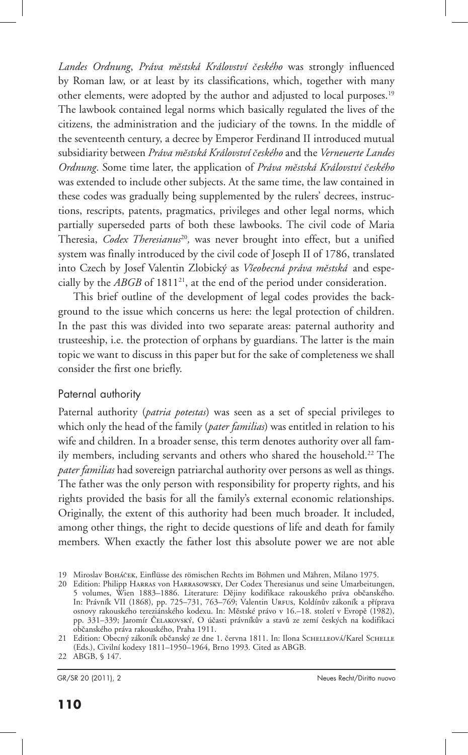*Landes Ordnung*, *Práva městská Království českého* was strongly influenced by Roman law, or at least by its classifications, which, together with many other elements, were adopted by the author and adjusted to local purposes.19 The lawbook contained legal norms which basically regulated the lives of the citizens, the administration and the judiciary of the towns. In the middle of the seventeenth century, a decree by Emperor Ferdinand II introduced mutual subsidiarity between *Práva městská Království českého* and the *Verneuerte Landes Ordnung*. Some time later, the application of *Práva městská Království českého* was extended to include other subjects. At the same time, the law contained in these codes was gradually being supplemented by the rulers' decrees, instructions, rescripts, patents, pragmatics, privileges and other legal norms, which partially superseded parts of both these lawbooks. The civil code of Maria Theresia, *Codex Theresianus*<sup>20</sup>, was never brought into effect, but a unified system was finally introduced by the civil code of Joseph II of 1786, translated into Czech by Josef Valentin Zlobický as *Všeobecná práva městská* and especially by the *ABGB* of 1811<sup>21</sup>, at the end of the period under consideration.

This brief outline of the development of legal codes provides the background to the issue which concerns us here: the legal protection of children. In the past this was divided into two separate areas: paternal authority and trusteeship, i.e. the protection of orphans by guardians. The latter is the main topic we want to discuss in this paper but for the sake of completeness we shall consider the first one briefly.

### Paternal authority

Paternal authority (*patria potestas*) was seen as a set of special privileges to which only the head of the family (*pater familias*) was entitled in relation to his wife and children. In a broader sense, this term denotes authority over all family members, including servants and others who shared the household.<sup>22</sup> The *pater familias* had sovereign patriarchal authority over persons as well as things. The father was the only person with responsibility for property rights, and his rights provided the basis for all the family's external economic relationships. Originally, the extent of this authority had been much broader. It included, among other things, the right to decide questions of life and death for family members*.* When exactly the father lost this absolute power we are not able

<sup>19</sup> Miroslav Boháček, Einflüsse des römischen Rechts im Böhmen und Mähren, Milano 1975.

<sup>20</sup> Edition: Philipp Harras von Harrasowsky, Der Codex Theresianus und seine Umarbeitungen, 5 volumes, Wien 1883–1886. Literature: Dějiny kodifikace rakouského práva občanského. In: Právník VII (1868), pp. 725–731, 763–769; Valentin Urfus, Koldínův zákoník a příprava osnovy rakouského tereziánského kodexu. In: Městské právo v 16.–18. století v Evropě (1982), pp. 331–339; Jaromír Čelakovský, O účasti právníkův a stavů ze zemí českých na kodifikaci občanského práva rakouského, Praha 1911.

<sup>21</sup> Edition: Obecný zákoník občanský ze dne 1. června 1811. In: Ilona SCHELLEOVÁ/Karel SCHELLE (Eds.), Civilní kodexy 1811–1950–1964, Brno 1993. Cited as ABGB.

<sup>22</sup> ABGB, § 147.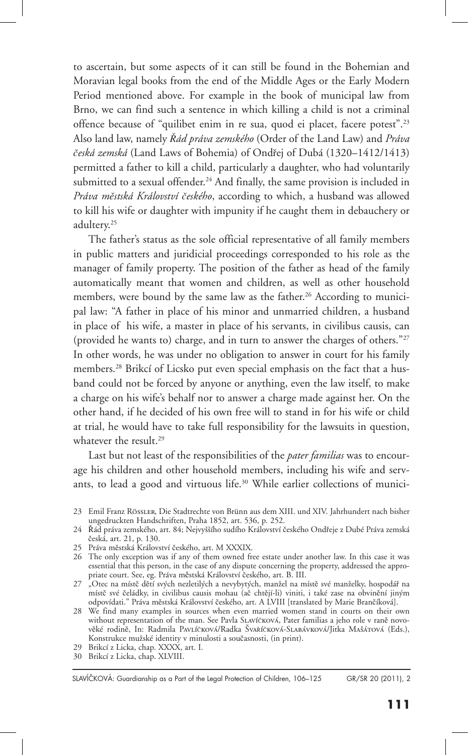to ascertain, but some aspects of it can still be found in the Bohemian and Moravian legal books from the end of the Middle Ages or the Early Modern Period mentioned above. For example in the book of municipal law from Brno, we can find such a sentence in which killing a child is not a criminal offence because of "quilibet enim in re sua, quod ei placet, facere potest".23 Also land law, namely *Řád práva zemského* (Order of the Land Law) and *Práva česká zemská* (Land Laws of Bohemia) of Ondřej of Dubá (1320–1412/1413) permitted a father to kill a child, particularly a daughter, who had voluntarily submitted to a sexual offender.<sup>24</sup> And finally, the same provision is included in *Práva městská Království českého*, according to which, a husband was allowed to kill his wife or daughter with impunity if he caught them in debauchery or adultery.25

The father's status as the sole official representative of all family members in public matters and juridicial proceedings corresponded to his role as the manager of family property. The position of the father as head of the family automatically meant that women and children, as well as other household members, were bound by the same law as the father.<sup>26</sup> According to municipal law: "A father in place of his minor and unmarried children, a husband in place of his wife, a master in place of his servants, in civilibus causis, can (provided he wants to) charge, and in turn to answer the charges of others."27 In other words, he was under no obligation to answer in court for his family members.28 Brikcí of Licsko put even special emphasis on the fact that a husband could not be forced by anyone or anything, even the law itself, to make a charge on his wife's behalf nor to answer a charge made against her. On the other hand, if he decided of his own free will to stand in for his wife or child at trial, he would have to take full responsibility for the lawsuits in question, whatever the result.<sup>29</sup>

Last but not least of the responsibilities of the *pater familias* was to encourage his children and other household members, including his wife and servants, to lead a good and virtuous life.<sup>30</sup> While earlier collections of munici-

<sup>23</sup> Emil Franz Rössler, Die Stadtrechte von Brünn aus dem XIII. und XIV. Jahrhundert nach bisher ungedruckten Handschriften, Praha 1852, art. 536, p. 252.

<sup>24</sup> Řád práva zemského, art. 84; Nejvyššího sudího Království českého Ondřeje z Dubé Práva zemská česká, art. 21, p. 130.

<sup>25</sup> Práva městská Království českého, art. M XXXIX.

<sup>26</sup> The only exception was if any of them owned free estate under another law. In this case it was essential that this person, in the case of any dispute concerning the property, addressed the appropriate court. See, eg. Práva městská Království českého, art. B. III.

<sup>27 &</sup>quot;Otec na místč dětí svých nezletilých a nevybytých, manžel na místě své manželky, hospodář na místč své čeládky, in civilibus causis mohau (ač chtějí-li) viniti, i také zase na obvinění jiným odpovídati." Práva městská Království českého, art. A LVIII [translated by Marie Brančíková].

<sup>28</sup> We find many examples in sources when even married women stand in courts on their own without representation of the man. See Pavla SLAVíčková, Pater familias a jeho role v raně novověké rodině, In: Radmila Pavlíčková/Radka Švaříčková-Slabávková/Jitka Mašátová (Eds.), Konstrukce mužské identity v minulosti a současnosti, (in print).

<sup>29</sup> Brikcí z Licka, chap. XXXX, art. I.

<sup>30</sup> Brikcí z Licka, chap. XLVIII.

SLAVÍČKOVÁ: Guardianship as a Part of the Legal Protection of Children, 106-125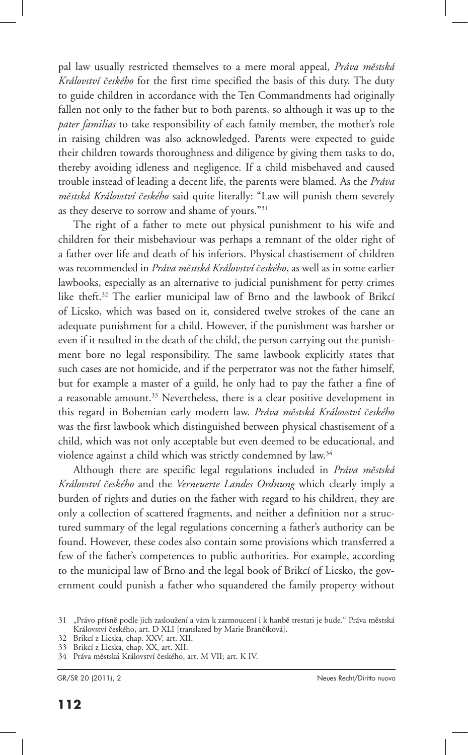pal law usually restricted themselves to a mere moral appeal, *Práva městská Království českého* for the first time specified the basis of this duty. The duty to guide children in accordance with the Ten Commandments had originally fallen not only to the father but to both parents, so although it was up to the *pater familias* to take responsibility of each family member, the mother's role in raising children was also acknowledged. Parents were expected to guide their children towards thoroughness and diligence by giving them tasks to do, thereby avoiding idleness and negligence. If a child misbehaved and caused trouble instead of leading a decent life, the parents were blamed. As the *Práva městská Království českého* said quite literally: "Law will punish them severely as they deserve to sorrow and shame of yours."31

The right of a father to mete out physical punishment to his wife and children for their misbehaviour was perhaps a remnant of the older right of a father over life and death of his inferiors. Physical chastisement of children was recommended in *Práva městská Království českého*, as well as in some earlier lawbooks, especially as an alternative to judicial punishment for petty crimes like theft.32 The earlier municipal law of Brno and the lawbook of Brikcí of Licsko, which was based on it, considered twelve strokes of the cane an adequate punishment for a child. However, if the punishment was harsher or even if it resulted in the death of the child, the person carrying out the punishment bore no legal responsibility. The same lawbook explicitly states that such cases are not homicide, and if the perpetrator was not the father himself, but for example a master of a guild, he only had to pay the father a fine of a reasonable amount.<sup>33</sup> Nevertheless, there is a clear positive development in this regard in Bohemian early modern law. *Práva městská Království českého* was the first lawbook which distinguished between physical chastisement of a child, which was not only acceptable but even deemed to be educational, and violence against a child which was strictly condemned by law.<sup>34</sup>

Although there are specific legal regulations included in *Práva městská Království českého* and the *Verneuerte Landes Ordnung* which clearly imply a burden of rights and duties on the father with regard to his children, they are only a collection of scattered fragments, and neither a definition nor a structured summary of the legal regulations concerning a father's authority can be found. However, these codes also contain some provisions which transferred a few of the father's competences to public authorities. For example, according to the municipal law of Brno and the legal book of Brikcí of Licsko, the government could punish a father who squandered the family property without

<sup>31 &</sup>quot;Právo přísně podle jich zasloužení a vám k zarmoucení i k hanbě trestati je bude." Práva městská Království českého, art. D XLI [translated by Marie Brančíková].

<sup>32</sup> Brikcí z Licska, chap. XXV, art. XII.

<sup>33</sup> Brikcí z Licska, chap. XX, art. XII.

<sup>34</sup> Práva městská Království českého, art. M VII; art. K IV.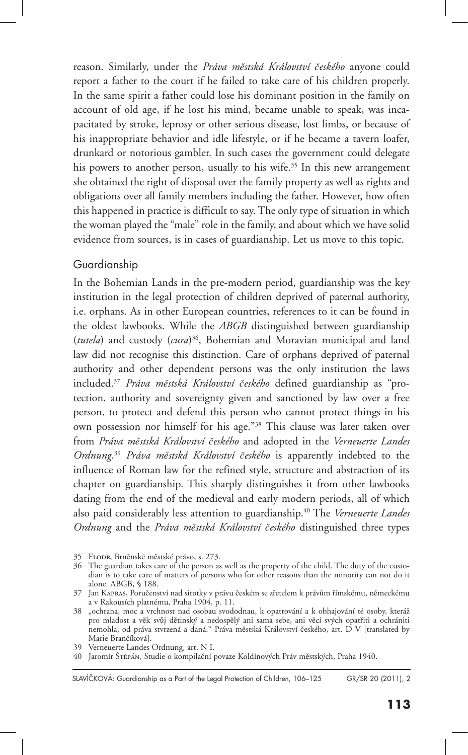reason. Similarly, under the *Práva městská Království českého* anyone could report a father to the court if he failed to take care of his children properly. In the same spirit a father could lose his dominant position in the family on account of old age, if he lost his mind, became unable to speak, was incapacitated by stroke, leprosy or other serious disease, lost limbs, or because of his inappropriate behavior and idle lifestyle, or if he became a tavern loafer, drunkard or notorious gambler. In such cases the government could delegate his powers to another person, usually to his wife.<sup>35</sup> In this new arrangement she obtained the right of disposal over the family property as well as rights and obligations over all family members including the father. However, how often this happened in practice is difficult to say. The only type of situation in which the woman played the "male" role in the family, and about which we have solid evidence from sources, is in cases of guardianship. Let us move to this topic.

## Guardianship

In the Bohemian Lands in the pre-modern period, guardianship was the key institution in the legal protection of children deprived of paternal authority, i.e. orphans. As in other European countries, references to it can be found in the oldest lawbooks. While the *ABGB* distinguished between guardianship (*tutela*) and custody (*cura*) 36, Bohemian and Moravian municipal and land law did not recognise this distinction. Care of orphans deprived of paternal authority and other dependent persons was the only institution the laws included.37 *Práva městská Království českého* defined guardianship as "protection, authority and sovereignty given and sanctioned by law over a free person, to protect and defend this person who cannot protect things in his own possession nor himself for his age."38 This clause was later taken over from *Práva městská Království českého* and adopted in the *Verneuerte Landes Ordnung*. <sup>39</sup> *Práva městská Království českého* is apparently indebted to the influence of Roman law for the refined style, structure and abstraction of its chapter on guardianship. This sharply distinguishes it from other lawbooks dating from the end of the medieval and early modern periods, all of which also paid considerably less attention to guardianship.40 The *Verneuerte Landes Ordnung* and the *Práva městská Království českého* distinguished three types

GR/SR 20 (2011), 2 SLAVÍČKOVÁ: Guardianship as a Part of the Legal Protection of Children, 106–125

<sup>35</sup> Flodr, Brněnské městské právo, s. 273.

<sup>36</sup> The guardian takes care of the person as well as the property of the child. The duty of the custodian is to take care of matters of persons who for other reasons than the minority can not do it alone. ABGB, § 188.

<sup>37</sup> Jan Kapras, Poručenství nad sirotky v právu českém se zřetelem k právům římskému, německému a v Rakousích platnému, Praha 1904, p. 11.

<sup>38 &</sup>quot;ochrana, moc a vrchnost nad osobau svododnau, k opatrování a k obhajování té osoby, kteráž pro mladost a věk svůj dětinský a nedospělý ani sama sebe, ani věcí svých opatřiti a ochrániti nemohla, od práva stvrzená a daná." Práva městská Království českého, art. D V [translated by Marie Brančíková].

<sup>39</sup> Verneuerte Landes Ordnung, art. N I.

<sup>40</sup> Jaromír Štěpán, Studie o kompilační povaze Koldínových Práv městských, Praha 1940.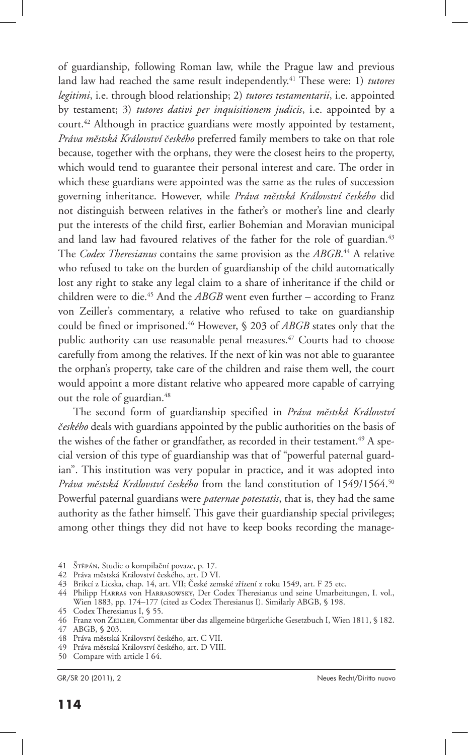of guardianship, following Roman law, while the Prague law and previous land law had reached the same result independently.<sup>41</sup> These were: 1) *tutores legitimi*, i.e. through blood relationship; 2) *tutores testamentarii*, i.e. appointed by testament; 3) *tutores dativi per inquisitionem judicis*, i.e. appointed by a court.<sup>42</sup> Although in practice guardians were mostly appointed by testament, *Práva městská Království českého* preferred family members to take on that role because, together with the orphans, they were the closest heirs to the property, which would tend to guarantee their personal interest and care. The order in which these guardians were appointed was the same as the rules of succession governing inheritance. However, while *Práva městská Království českého* did not distinguish between relatives in the father's or mother's line and clearly put the interests of the child first, earlier Bohemian and Moravian municipal and land law had favoured relatives of the father for the role of guardian.<sup>43</sup> The *Codex Theresianus* contains the same provision as the *ABGB*. 44 A relative who refused to take on the burden of guardianship of the child automatically lost any right to stake any legal claim to a share of inheritance if the child or children were to die.<sup>45</sup> And the *ABGB* went even further – according to Franz von Zeiller's commentary, a relative who refused to take on guardianship could be fined or imprisoned.46 However, § 203 of *ABGB* states only that the public authority can use reasonable penal measures.<sup>47</sup> Courts had to choose carefully from among the relatives. If the next of kin was not able to guarantee the orphan's property, take care of the children and raise them well, the court would appoint a more distant relative who appeared more capable of carrying out the role of guardian.<sup>48</sup>

The second form of guardianship specified in *Práva městská Království českého* deals with guardians appointed by the public authorities on the basis of the wishes of the father or grandfather, as recorded in their testament.<sup>49</sup> A special version of this type of guardianship was that of "powerful paternal guardian". This institution was very popular in practice, and it was adopted into *Práva městská Království českého* from the land constitution of 1549/1564.50 Powerful paternal guardians were *paternae potestatis*, that is, they had the same authority as the father himself. This gave their guardianship special privileges; among other things they did not have to keep books recording the manage-

- 41 Štěpán, Studie o kompilační povaze, p. 17.
- 42 Práva městská Království českého, art. D VI.
- 43 Brikcí z Licska, chap. 14, art. VII; České zemské zřízení z roku 1549, art. F 25 etc.
- 44 Philipp Harras von Harrasowsky, Der Codex Theresianus und seine Umarbeitungen, I. vol., Wien 1883, pp. 174–177 (cited as Codex Theresianus I). Similarly ABGB, § 198.
- 45 Codex Theresianus I, § 55.
- 46 Franz von Zeiller, Commentar über das allgemeine bürgerliche Gesetzbuch I, Wien 1811, § 182. 47 ABGB, § 203.
- 48 Práva městská Království českého, art. C VII.
- 49 Práva městská Království českého, art. D VIII.
- 50 Compare with article I 64.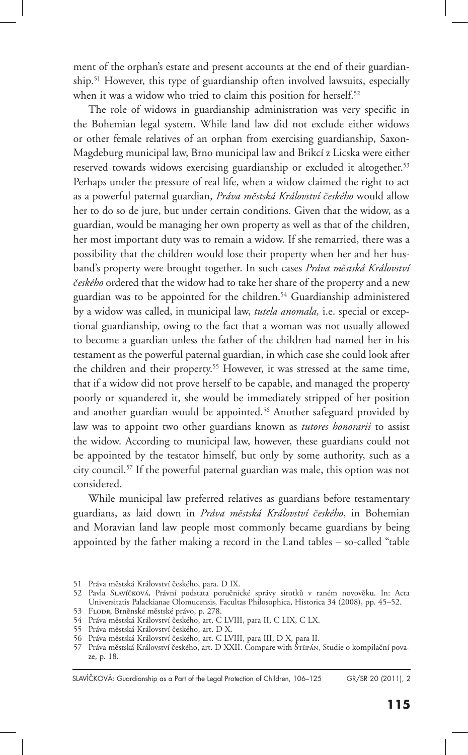ment of the orphan's estate and present accounts at the end of their guardianship.51 However, this type of guardianship often involved lawsuits, especially when it was a widow who tried to claim this position for herself.<sup>52</sup>

The role of widows in guardianship administration was very specific in the Bohemian legal system. While land law did not exclude either widows or other female relatives of an orphan from exercising guardianship, Saxon-Magdeburg municipal law, Brno municipal law and Brikcí z Licska were either reserved towards widows exercising guardianship or excluded it altogether.<sup>53</sup> Perhaps under the pressure of real life, when a widow claimed the right to act as a powerful paternal guardian, *Práva městská Království českého* would allow her to do so de jure, but under certain conditions. Given that the widow, as a guardian, would be managing her own property as well as that of the children, her most important duty was to remain a widow. If she remarried, there was a possibility that the children would lose their property when her and her husband's property were brought together. In such cases *Práva městská Království českého* ordered that the widow had to take her share of the property and a new guardian was to be appointed for the children.54 Guardianship administered by a widow was called, in municipal law, *tutela anomala,* i.e. special or exceptional guardianship, owing to the fact that a woman was not usually allowed to become a guardian unless the father of the children had named her in his testament as the powerful paternal guardian, in which case she could look after the children and their property.<sup>55</sup> However, it was stressed at the same time, that if a widow did not prove herself to be capable, and managed the property poorly or squandered it, she would be immediately stripped of her position and another guardian would be appointed.<sup>56</sup> Another safeguard provided by law was to appoint two other guardians known as *tutores honorarii* to assist the widow. According to municipal law, however, these guardians could not be appointed by the testator himself, but only by some authority, such as a city council.57 If the powerful paternal guardian was male, this option was not considered.

While municipal law preferred relatives as guardians before testamentary guardians, as laid down in *Práva městská Království českého*, in Bohemian and Moravian land law people most commonly became guardians by being appointed by the father making a record in the Land tables – so-called "table

SLAVÍČKOVÁ: Guardianship as a Part of the Legal Protection of Children, 106-125

<sup>51</sup> Práva městská Království českého, para. D IX.

<sup>52</sup> Pavla Slavíčková, Právní podstata poručnické správy sirotků v raném novověku. In: Acta Universitatis Palackianae Olomucensis, Facultas Philosophica, Historica 34 (2008), pp. 45–52.

<sup>53</sup> Flodr, Brněnské městské právo, p. 278.

<sup>54</sup> Práva městská Království českého, art. C LVIII, para II, C LIX, C LX.

<sup>55</sup> Práva městská Království českého, art. D X.

<sup>56</sup> Práva městská Království českého, art. C LVIII, para III, D X, para II.

<sup>57</sup> Práva městská Království českého, art. D XXII. Compare with Štěpán, Studie o kompilační povaze, p. 18.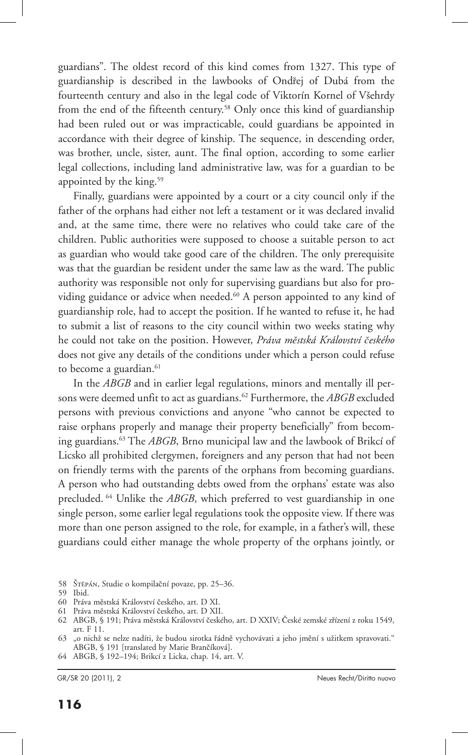guardians". The oldest record of this kind comes from 1327. This type of guardianship is described in the lawbooks of Ondřej of Dubá from the fourteenth century and also in the legal code of Viktorín Kornel of Všehrdy from the end of the fifteenth century.58 Only once this kind of guardianship had been ruled out or was impracticable, could guardians be appointed in accordance with their degree of kinship. The sequence, in descending order, was brother, uncle, sister, aunt. The final option, according to some earlier legal collections, including land administrative law, was for a guardian to be appointed by the king.59

Finally, guardians were appointed by a court or a city council only if the father of the orphans had either not left a testament or it was declared invalid and, at the same time, there were no relatives who could take care of the children. Public authorities were supposed to choose a suitable person to act as guardian who would take good care of the children. The only prerequisite was that the guardian be resident under the same law as the ward. The public authority was responsible not only for supervising guardians but also for providing guidance or advice when needed.<sup>60</sup> A person appointed to any kind of guardianship role, had to accept the position. If he wanted to refuse it, he had to submit a list of reasons to the city council within two weeks stating why he could not take on the position. However, *Práva městská Království českého* does not give any details of the conditions under which a person could refuse to become a guardian.<sup>61</sup>

In the *ABGB* and in earlier legal regulations, minors and mentally ill persons were deemed unfit to act as guardians.<sup>62</sup> Furthermore, the *ABGB* excluded persons with previous convictions and anyone "who cannot be expected to raise orphans properly and manage their property beneficially" from becoming guardians.63 The *ABGB*, Brno municipal law and the lawbook of Brikcí of Licsko all prohibited clergymen, foreigners and any person that had not been on friendly terms with the parents of the orphans from becoming guardians. A person who had outstanding debts owed from the orphans' estate was also precluded. 64 Unlike the *ABGB*, which preferred to vest guardianship in one single person, some earlier legal regulations took the opposite view. If there was more than one person assigned to the role, for example, in a father's will, these guardians could either manage the whole property of the orphans jointly, or

58 Štěpán, Studie o kompilační povaze, pp. 25–36.

59 Ibid.

- 60 Práva městská Království českého, art. D XI.
- 61 Práva městská Království českého, art. D XII.

64 ABGB, § 192–194; Brikcí z Licka, chap. 14, art. V.

<sup>62</sup> ABGB, § 191; Práva městská Království českého, art. D XXIV; České zemské zřízení z roku 1549, art. F 11.

<sup>63 &</sup>quot;o nichž se nelze nadíti, že budou sirotka řádně vychovávati a jeho jmění s užitkem spravovati." ABGB, § 191 [translated by Marie Brančíková].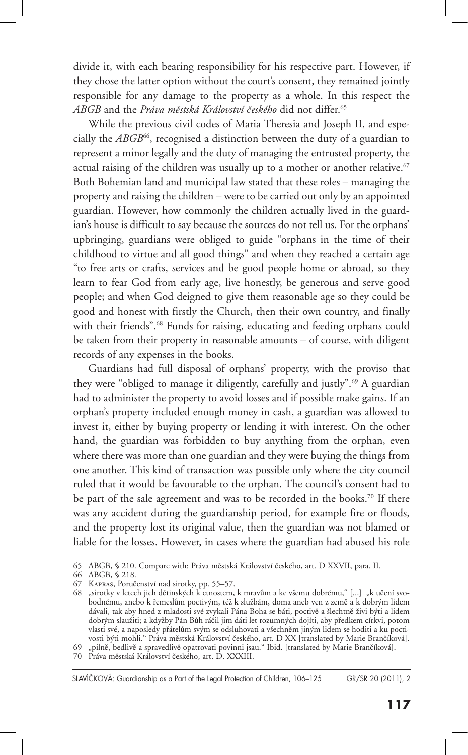divide it, with each bearing responsibility for his respective part. However, if they chose the latter option without the court's consent, they remained jointly responsible for any damage to the property as a whole. In this respect the *ABGB* and the *Práva městská Království českého* did not differ.65

While the previous civil codes of Maria Theresia and Joseph II, and especially the *ABGB*<sup>66</sup>, recognised a distinction between the duty of a guardian to represent a minor legally and the duty of managing the entrusted property, the actual raising of the children was usually up to a mother or another relative.<sup>67</sup> Both Bohemian land and municipal law stated that these roles – managing the property and raising the children – were to be carried out only by an appointed guardian. However, how commonly the children actually lived in the guardian's house is difficult to say because the sources do not tell us. For the orphans' upbringing, guardians were obliged to guide "orphans in the time of their childhood to virtue and all good things" and when they reached a certain age "to free arts or crafts, services and be good people home or abroad, so they learn to fear God from early age, live honestly, be generous and serve good people; and when God deigned to give them reasonable age so they could be good and honest with firstly the Church, then their own country, and finally with their friends".<sup>68</sup> Funds for raising, educating and feeding orphans could be taken from their property in reasonable amounts – of course, with diligent records of any expenses in the books.

Guardians had full disposal of orphans' property, with the proviso that they were "obliged to manage it diligently, carefully and justly".69 A guardian had to administer the property to avoid losses and if possible make gains. If an orphan's property included enough money in cash, a guardian was allowed to invest it, either by buying property or lending it with interest. On the other hand, the guardian was forbidden to buy anything from the orphan, even where there was more than one guardian and they were buying the things from one another. This kind of transaction was possible only where the city council ruled that it would be favourable to the orphan. The council's consent had to be part of the sale agreement and was to be recorded in the books.<sup>70</sup> If there was any accident during the guardianship period, for example fire or floods, and the property lost its original value, then the guardian was not blamed or liable for the losses. However, in cases where the guardian had abused his role

69 "pilně, bedlivě a spravedlivě opatrovati povinni jsau." Ibid. [translated by Marie Brančíková].

70 Práva městská Království českého, art. D. XXXIII.

SLAVÍČKOVÁ: Guardianship as a Part of the Legal Protection of Children, 106-125

<sup>65</sup> ABGB, § 210. Compare with: Práva městská Království českého, art. D XXVII, para. II.

<sup>66</sup> ABGB, § 218.

<sup>67</sup> Kapras, Poručenství nad sirotky, pp. 55–57.

<sup>68 &</sup>quot;sirotky v letech jich dětinských k ctnostem, k mravům a ke všemu dobrému," [...] "k učení svobodnému, anebo k řemeslům poctivým, též k službám, doma aneb ven z země a k dobrým lidem dávali, tak aby hned z mladosti své zvykali Pána Boha se báti, poctivě a šlechtně živi býti a lidem dobrým slaužiti; a kdyžby Pán Bůh ráčil jim dáti let rozumných dojíti, aby předkem církvi, potom vlasti své, a naposledy přátelům svým se odsluhovati a všechněm jiným lidem se hoditi a ku poctivosti býti mohli." Práva městská Království českého, art. D XX [translated by Marie Brančíková].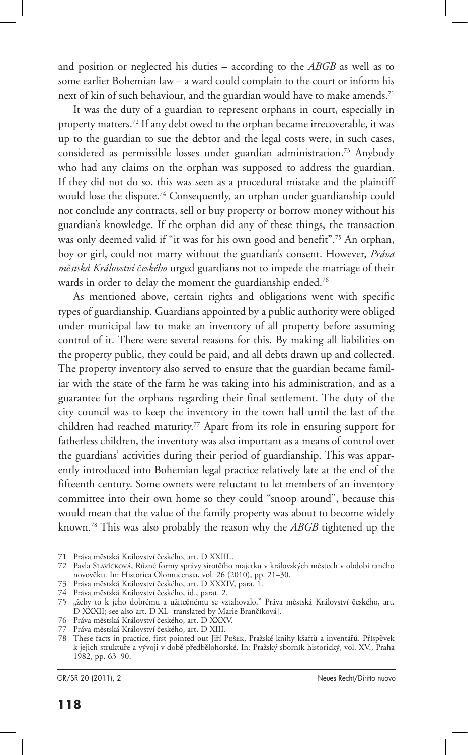and position or neglected his duties – according to the *ABGB* as well as to some earlier Bohemian law – a ward could complain to the court or inform his next of kin of such behaviour, and the guardian would have to make amends.<sup>71</sup>

It was the duty of a guardian to represent orphans in court, especially in property matters.72 If any debt owed to the orphan became irrecoverable, it was up to the guardian to sue the debtor and the legal costs were, in such cases, considered as permissible losses under guardian administration.73 Anybody who had any claims on the orphan was supposed to address the guardian. If they did not do so, this was seen as a procedural mistake and the plaintiff would lose the dispute.<sup>74</sup> Consequently, an orphan under guardianship could not conclude any contracts, sell or buy property or borrow money without his guardian's knowledge. If the orphan did any of these things, the transaction was only deemed valid if "it was for his own good and benefit".<sup>75</sup> An orphan, boy or girl, could not marry without the guardian's consent. However, *Práva městská Království českého* urged guardians not to impede the marriage of their wards in order to delay the moment the guardianship ended.<sup>76</sup>

As mentioned above, certain rights and obligations went with specific types of guardianship. Guardians appointed by a public authority were obliged under municipal law to make an inventory of all property before assuming control of it. There were several reasons for this. By making all liabilities on the property public, they could be paid, and all debts drawn up and collected. The property inventory also served to ensure that the guardian became familiar with the state of the farm he was taking into his administration, and as a guarantee for the orphans regarding their final settlement. The duty of the city council was to keep the inventory in the town hall until the last of the children had reached maturity.<sup>77</sup> Apart from its role in ensuring support for fatherless children, the inventory was also important as a means of control over the guardians' activities during their period of guardianship. This was apparently introduced into Bohemian legal practice relatively late at the end of the fifteenth century. Some owners were reluctant to let members of an inventory committee into their own home so they could "snoop around", because this would mean that the value of the family property was about to become widely known.78 This was also probably the reason why the *ABGB* tightened up the

- 76 Práva městská Království českého, art. D XXXV.
- 77 Práva městská Království českého, art. D XIII.

<sup>71</sup> Práva městská Království českého, art. D XXIII..

<sup>72</sup> Pavla Slavíčková, Různé formy správy sirotčího majetku v královských městech v období raného novověku. In: Historica Olomucensia, vol. 26 (2010), pp. 21–30.

<sup>73</sup> Práva městská Království českého, art. D XXXIV, para. 1.

<sup>74</sup> Práva městská Království českého, id., parat. 2.

<sup>75 &</sup>quot;žeby to k jeho dobrému a užitečnému se vztahovalo." Práva městská Království českého, art. D XXXII; see also art. D XL [translated by Marie Brančíková].

<sup>78</sup> These facts in practice, first pointed out Jiří Pešek, Pražské knihy kšaftů a inventářů. Příspěvek k jejich struktuře a vývoji v době předbělohorské. In: Pražský sborník historický, vol. XV., Praha 1982, pp. 63–90.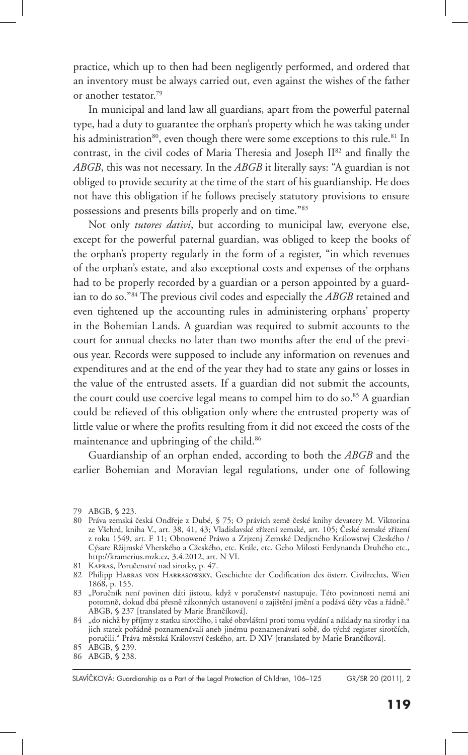practice, which up to then had been negligently performed, and ordered that an inventory must be always carried out, even against the wishes of the father or another testator.79

In municipal and land law all guardians, apart from the powerful paternal type, had a duty to guarantee the orphan's property which he was taking under his administration<sup>80</sup>, even though there were some exceptions to this rule.<sup>81</sup> In contrast, in the civil codes of Maria Theresia and Joseph II<sup>82</sup> and finally the *ABGB*, this was not necessary. In the *ABGB* it literally says: "A guardian is not obliged to provide security at the time of the start of his guardianship. He does not have this obligation if he follows precisely statutory provisions to ensure possessions and presents bills properly and on time."83

Not only *tutores dativi*, but according to municipal law, everyone else, except for the powerful paternal guardian, was obliged to keep the books of the orphan's property regularly in the form of a register, "in which revenues of the orphan's estate, and also exceptional costs and expenses of the orphans had to be properly recorded by a guardian or a person appointed by a guardian to do so."84 The previous civil codes and especially the *ABGB* retained and even tightened up the accounting rules in administering orphans' property in the Bohemian Lands. A guardian was required to submit accounts to the court for annual checks no later than two months after the end of the previous year. Records were supposed to include any information on revenues and expenditures and at the end of the year they had to state any gains or losses in the value of the entrusted assets. If a guardian did not submit the accounts, the court could use coercive legal means to compel him to do so.<sup>85</sup> A guardian could be relieved of this obligation only where the entrusted property was of little value or where the profits resulting from it did not exceed the costs of the maintenance and upbringing of the child.<sup>86</sup>

Guardianship of an orphan ended, according to both the *ABGB* and the earlier Bohemian and Moravian legal regulations, under one of following

81 Kapras, Poručenství nad sirotky, p. 47.

<sup>79</sup> ABGB, § 223.

<sup>80</sup> Práva zemská česká Ondřeje z Dubé, § 75; O právích země české knihy devatery M. Viktorina ze Všehrd, kniha V., art. 38, 41, 43; Vladislavské zřízení zemské, art. 105; České zemské zřízení z roku 1549, art. F 11; Obnowené Práwo a Zrjzenj Zemské Dedjcného Králowstwj Cžeského / Cýsare Ržijmské Vherského a Cžeského, etc. Krále, etc. Geho Milosti Ferdynanda Druhého etc., http://kramerius.mzk.cz, 3.4.2012, art. N VI.

<sup>82</sup> Philipp Harras von Harrasowsky, Geschichte der Codification des österr. Civilrechts, Wien 1868, p. 155.

<sup>83 &</sup>quot;Poručník není povinen dáti jistotu, když v poručenství nastupuje. Této povinnosti nemá ani potomně, dokud dbá přesně zákonných ustanovení o zajištění jmění a podává účty včas a řádně." ABGB, § 237 [translated by Marie Brančíková].

<sup>84 &</sup>quot;do nichž by příjmy z statku sirotčího, i také obzvláštní proti tomu vydání a náklady na sirotky i na jich statek pořádně poznamenávali aneb jinému poznamenávati sobě, do týchž register sirotčích, poručili." Práva městská Království českého, art. D XIV [translated by Marie Brančíková].

<sup>85</sup> ABGB, § 239.

<sup>86</sup> ABGB, § 238.

SLAVÍČKOVÁ: Guardianship as a Part of the Legal Protection of Children, 106-125

GR/SR 20 (2011), 2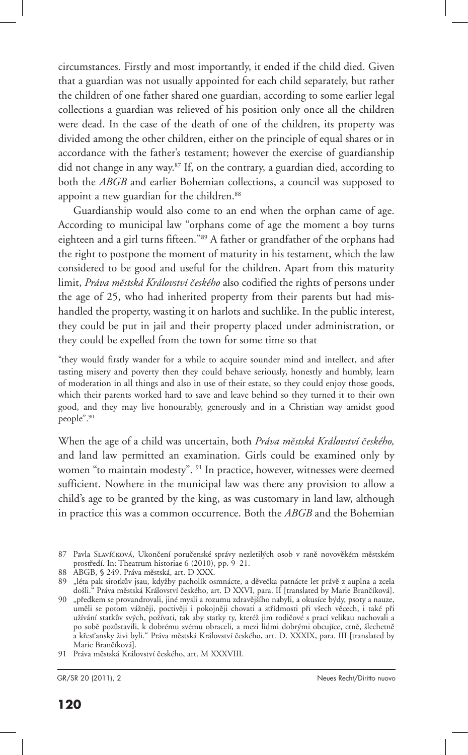circumstances. Firstly and most importantly, it ended if the child died. Given that a guardian was not usually appointed for each child separately, but rather the children of one father shared one guardian, according to some earlier legal collections a guardian was relieved of his position only once all the children were dead. In the case of the death of one of the children, its property was divided among the other children, either on the principle of equal shares or in accordance with the father's testament; however the exercise of guardianship did not change in any way.<sup>87</sup> If, on the contrary, a guardian died, according to both the *ABGB* and earlier Bohemian collections, a council was supposed to appoint a new guardian for the children.<sup>88</sup>

Guardianship would also come to an end when the orphan came of age. According to municipal law "orphans come of age the moment a boy turns eighteen and a girl turns fifteen."89 A father or grandfather of the orphans had the right to postpone the moment of maturity in his testament, which the law considered to be good and useful for the children. Apart from this maturity limit, *Práva městská Království českého* also codified the rights of persons under the age of 25, who had inherited property from their parents but had mishandled the property, wasting it on harlots and suchlike. In the public interest, they could be put in jail and their property placed under administration, or they could be expelled from the town for some time so that

"they would firstly wander for a while to acquire sounder mind and intellect, and after tasting misery and poverty then they could behave seriously, honestly and humbly, learn of moderation in all things and also in use of their estate, so they could enjoy those goods, which their parents worked hard to save and leave behind so they turned it to their own good, and they may live honourably, generously and in a Christian way amidst good people".90

When the age of a child was uncertain, both *Práva městská Království českého,* and land law permitted an examination. Girls could be examined only by women "to maintain modesty". <sup>91</sup> In practice, however, witnesses were deemed sufficient. Nowhere in the municipal law was there any provision to allow a child's age to be granted by the king, as was customary in land law, although in practice this was a common occurrence. Both the *ABGB* and the Bohemian

<sup>87</sup> Pavla Slavíčková, Ukončení poručenské správy nezletilých osob v raně novověkém městském prostředí. In: Theatrum historiae 6 (2010), pp. 9–21.

<sup>88</sup> ABGB, § 249. Práva městská, art. D XXX.

<sup>89 &</sup>quot;léta pak sirotkův jsau, kdyžby pacholík osmnácte, a děvečka patnácte let právě z auplna a zcela došli." Práva městská Království českého, art. D XXVI, para. II [translated by Marie Brančíková].

<sup>90 &</sup>quot;předkem se provandrovali, jiné mysli a rozumu zdravějšího nabyli, a okusíce býdy, psoty a nauze, uměli se potom vážněji, poctivěji i pokojněji chovati a střídmosti při všech věcech, i také při užívání statkův svých, požívati, tak aby statky ty, kteréž jim rodičové s prací velikau nachovali a po sobě pozůstavili, k dobrému svému obraceli, a mezi lidmi dobrými obcujíce, ctně, šlechetně a křesťansky živi byli." Práva městská Království českého, art. D. XXXIX, para. III [translated by Marie Brančíková].

<sup>91</sup> Práva městská Království českého, art. M XXXVIII.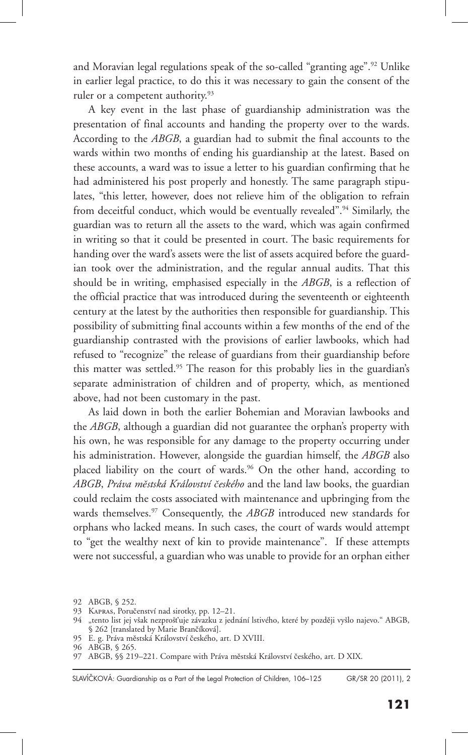and Moravian legal regulations speak of the so-called "granting age".92 Unlike in earlier legal practice, to do this it was necessary to gain the consent of the ruler or a competent authority.<sup>93</sup>

A key event in the last phase of guardianship administration was the presentation of final accounts and handing the property over to the wards. According to the *ABGB*, a guardian had to submit the final accounts to the wards within two months of ending his guardianship at the latest. Based on these accounts, a ward was to issue a letter to his guardian confirming that he had administered his post properly and honestly. The same paragraph stipulates, "this letter, however, does not relieve him of the obligation to refrain from deceitful conduct, which would be eventually revealed".94 Similarly, the guardian was to return all the assets to the ward, which was again confirmed in writing so that it could be presented in court. The basic requirements for handing over the ward's assets were the list of assets acquired before the guardian took over the administration, and the regular annual audits. That this should be in writing, emphasised especially in the *ABGB*, is a reflection of the official practice that was introduced during the seventeenth or eighteenth century at the latest by the authorities then responsible for guardianship. This possibility of submitting final accounts within a few months of the end of the guardianship contrasted with the provisions of earlier lawbooks, which had refused to "recognize" the release of guardians from their guardianship before this matter was settled.95 The reason for this probably lies in the guardian's separate administration of children and of property, which, as mentioned above, had not been customary in the past.

As laid down in both the earlier Bohemian and Moravian lawbooks and the *ABGB*, although a guardian did not guarantee the orphan's property with his own, he was responsible for any damage to the property occurring under his administration. However, alongside the guardian himself, the *ABGB* also placed liability on the court of wards.<sup>96</sup> On the other hand, according to *ABGB*, *Práva městská Království českého* and the land law books, the guardian could reclaim the costs associated with maintenance and upbringing from the wards themselves.<sup>97</sup> Consequently, the *ABGB* introduced new standards for orphans who lacked means. In such cases, the court of wards would attempt to "get the wealthy next of kin to provide maintenance". If these attempts were not successful, a guardian who was unable to provide for an orphan either

<sup>92</sup> ABGB, § 252.

<sup>93</sup> Kapras, Poručenství nad sirotky, pp. 12–21.

<sup>94 &</sup>quot;tento list jej však nezprošťuje závazku z jednání lstivého, které by později vyšlo najevo." ABGB, § 262 [translated by Marie Brančíková].

<sup>95</sup> E. g. Práva městská Království českého, art. D XVIII.

<sup>96</sup> ABGB, § 265.

<sup>97</sup> ABGB, §§ 219–221. Compare with Práva městská Království českého, art. D XIX.

GR/SR 20 (2011), 2 SLAVÍČKOVÁ: Guardianship as a Part of the Legal Protection of Children, 106-125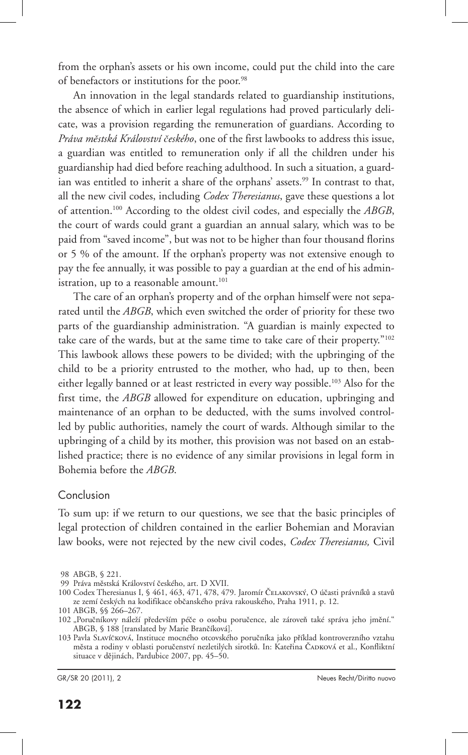from the orphan's assets or his own income, could put the child into the care of benefactors or institutions for the poor.<sup>98</sup>

An innovation in the legal standards related to guardianship institutions, the absence of which in earlier legal regulations had proved particularly delicate, was a provision regarding the remuneration of guardians. According to *Práva městská Království českého*, one of the first lawbooks to address this issue, a guardian was entitled to remuneration only if all the children under his guardianship had died before reaching adulthood. In such a situation, a guardian was entitled to inherit a share of the orphans' assets.<sup>99</sup> In contrast to that, all the new civil codes, including *Codex Theresianus*, gave these questions a lot of attention.100 According to the oldest civil codes, and especially the *ABGB*, the court of wards could grant a guardian an annual salary, which was to be paid from "saved income", but was not to be higher than four thousand florins or 5 % of the amount. If the orphan's property was not extensive enough to pay the fee annually, it was possible to pay a guardian at the end of his administration, up to a reasonable amount.<sup>101</sup>

The care of an orphan's property and of the orphan himself were not separated until the *ABGB*, which even switched the order of priority for these two parts of the guardianship administration. "A guardian is mainly expected to take care of the wards, but at the same time to take care of their property."102 This lawbook allows these powers to be divided; with the upbringing of the child to be a priority entrusted to the mother, who had, up to then, been either legally banned or at least restricted in every way possible.103 Also for the first time, the *ABGB* allowed for expenditure on education, upbringing and maintenance of an orphan to be deducted, with the sums involved controlled by public authorities, namely the court of wards. Although similar to the upbringing of a child by its mother, this provision was not based on an established practice; there is no evidence of any similar provisions in legal form in Bohemia before the *ABGB*.

#### Conclusion

To sum up: if we return to our questions, we see that the basic principles of legal protection of children contained in the earlier Bohemian and Moravian law books, were not rejected by the new civil codes, *Codex Theresianus,* Civil

101 ABGB, §§ 266–267.

 <sup>98</sup> ABGB, § 221.

 <sup>99</sup> Práva městská Království českého, art. D XVII.

<sup>100</sup> Codex Theresianus I, § 461, 463, 471, 478, 479. Jaromír ČELAKOVSKÝ, O účasti právníků a stavů ze zemí českých na kodifikace občanského práva rakouského, Praha 1911, p. 12.

<sup>102 &</sup>quot;Poručníkovy náleží především péče o osobu poručence, ale zároveň také správa jeho jmění." ABGB, § 188 [translated by Marie Brančíková].

<sup>103</sup> Pavla Slavíčková, Instituce mocného otcovského poručníka jako příklad kontroverzního vztahu města a rodiny v oblasti poručenství nezletilých sirotků. In: Kateřina ČADKOVÁ et al., Konfliktní situace v dějinách, Pardubice 2007, pp. 45–50.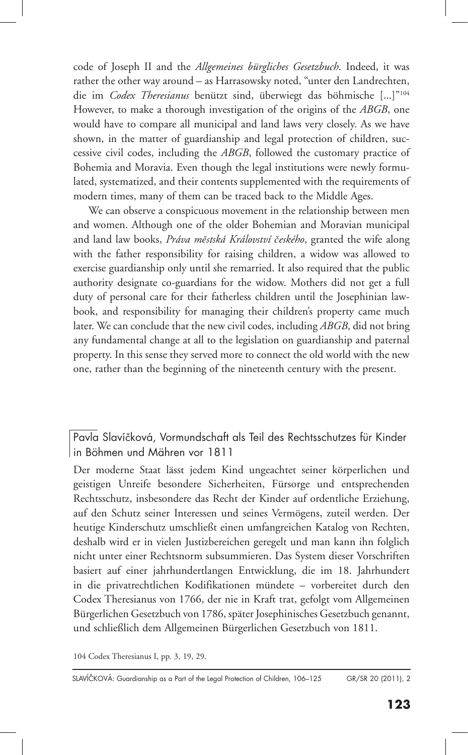code of Joseph II and the *Allgemeines bürgliches Gesetzbuch*. Indeed, it was rather the other way around – as Harrasowsky noted, "unter den Landrechten, die im *Codex Theresianus* benützt sind, überwiegt das böhmische [...]"104 However, to make a thorough investigation of the origins of the *ABGB*, one would have to compare all municipal and land laws very closely. As we have shown, in the matter of guardianship and legal protection of children, successive civil codes, including the *ABGB*, followed the customary practice of Bohemia and Moravia. Even though the legal institutions were newly formulated, systematized, and their contents supplemented with the requirements of modern times, many of them can be traced back to the Middle Ages.

We can observe a conspicuous movement in the relationship between men and women. Although one of the older Bohemian and Moravian municipal and land law books, *Práva městská Království českého*, granted the wife along with the father responsibility for raising children, a widow was allowed to exercise guardianship only until she remarried. It also required that the public authority designate co-guardians for the widow. Mothers did not get a full duty of personal care for their fatherless children until the Josephinian lawbook, and responsibility for managing their children's property came much later. We can conclude that the new civil codes, including *ABGB*, did not bring any fundamental change at all to the legislation on guardianship and paternal property. In this sense they served more to connect the old world with the new one, rather than the beginning of the nineteenth century with the present.

Pavla Slavíčková, Vormundschaft als Teil des Rechtsschutzes für Kinder in Böhmen und Mähren vor 1811

Der moderne Staat lässt jedem Kind ungeachtet seiner körperlichen und geistigen Unreife besondere Sicherheiten, Fürsorge und entsprechenden Rechtsschutz, insbesondere das Recht der Kinder auf ordentliche Erziehung, auf den Schutz seiner Interessen und seines Vermögens, zuteil werden. Der heutige Kinderschutz umschließt einen umfangreichen Katalog von Rechten, deshalb wird er in vielen Justizbereichen geregelt und man kann ihn folglich nicht unter einer Rechtsnorm subsummieren. Das System dieser Vorschriften basiert auf einer jahrhundertlangen Entwicklung, die im 18. Jahrhundert in die privatrechtlichen Kodifikationen mündete – vorbereitet durch den Codex Theresianus von 1766, der nie in Kraft trat, gefolgt vom Allgemeinen Bürgerlichen Gesetzbuch von 1786, später Josephinisches Gesetzbuch genannt, und schließlich dem Allgemeinen Bürgerlichen Gesetzbuch von 1811.

104 Codex Theresianus I, pp. 3, 19, 29.

GR/SR 20 (2011), 2 SLAVÍČKOVÁ: Guardianship as a Part of the Legal Protection of Children, 106-125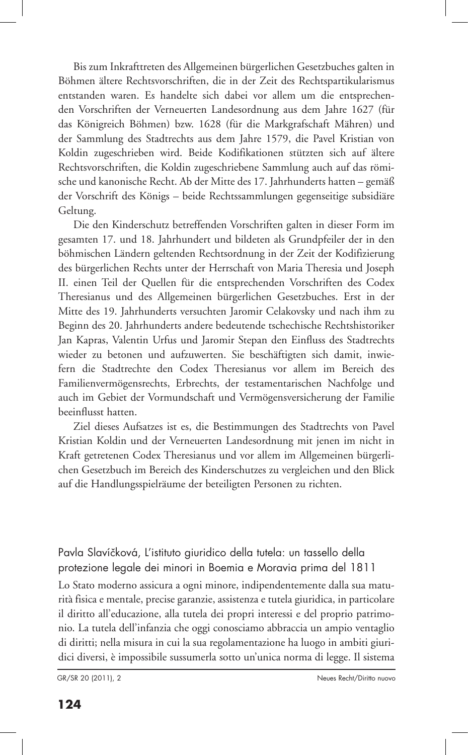Bis zum Inkrafttreten des Allgemeinen bürgerlichen Gesetzbuches galten in Böhmen ältere Rechtsvorschriften, die in der Zeit des Rechtspartikularismus entstanden waren. Es handelte sich dabei vor allem um die entsprechenden Vorschriften der Verneuerten Landesordnung aus dem Jahre 1627 (für das Königreich Böhmen) bzw. 1628 (für die Markgrafschaft Mähren) und der Sammlung des Stadtrechts aus dem Jahre 1579, die Pavel Kristian von Koldin zugeschrieben wird. Beide Kodifikationen stützten sich auf ältere Rechtsvorschriften, die Koldin zugeschriebene Sammlung auch auf das römische und kanonische Recht. Ab der Mitte des 17. Jahrhunderts hatten – gemäß der Vorschrift des Königs – beide Rechtssammlungen gegenseitige subsidiäre Geltung.

Die den Kinderschutz betreffenden Vorschriften galten in dieser Form im gesamten 17. und 18. Jahrhundert und bildeten als Grundpfeiler der in den böhmischen Ländern geltenden Rechtsordnung in der Zeit der Kodifizierung des bürgerlichen Rechts unter der Herrschaft von Maria Theresia und Joseph II. einen Teil der Quellen für die entsprechenden Vorschriften des Codex Theresianus und des Allgemeinen bürgerlichen Gesetzbuches. Erst in der Mitte des 19. Jahrhunderts versuchten Jaromir Celakovsky und nach ihm zu Beginn des 20. Jahrhunderts andere bedeutende tschechische Rechtshistoriker Jan Kapras, Valentin Urfus und Jaromir Stepan den Einfluss des Stadtrechts wieder zu betonen und aufzuwerten. Sie beschäftigten sich damit, inwiefern die Stadtrechte den Codex Theresianus vor allem im Bereich des Familienvermögensrechts, Erbrechts, der testamentarischen Nachfolge und auch im Gebiet der Vormundschaft und Vermögensversicherung der Familie beeinflusst hatten.

Ziel dieses Aufsatzes ist es, die Bestimmungen des Stadtrechts von Pavel Kristian Koldin und der Verneuerten Landesordnung mit jenen im nicht in Kraft getretenen Codex Theresianus und vor allem im Allgemeinen bürgerlichen Gesetzbuch im Bereich des Kinderschutzes zu vergleichen und den Blick auf die Handlungsspielräume der beteiligten Personen zu richten.

Pavla Slavíčková, L'istituto giuridico della tutela: un tassello della protezione legale dei minori in Boemia e Moravia prima del 1811 Lo Stato moderno assicura a ogni minore, indipendentemente dalla sua maturità fisica e mentale, precise garanzie, assistenza e tutela giuridica, in particolare il diritto all'educazione, alla tutela dei propri interessi e del proprio patrimonio. La tutela dell'infanzia che oggi conosciamo abbraccia un ampio ventaglio di diritti; nella misura in cui la sua regolamentazione ha luogo in ambiti giuridici diversi, è impossibile sussumerla sotto un'unica norma di legge. Il sistema